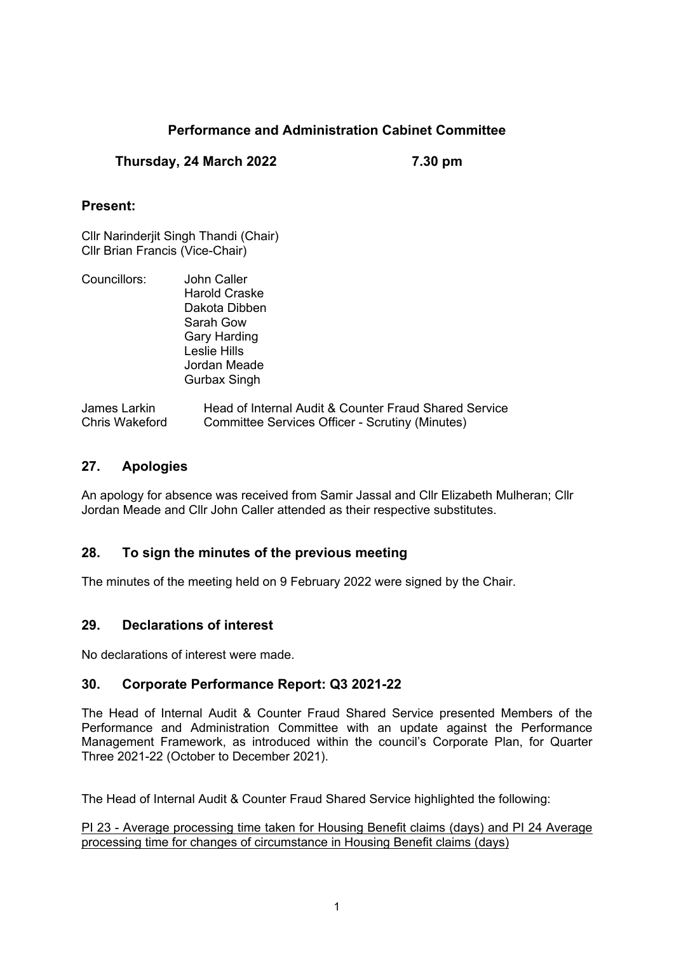# **Performance and Administration Cabinet Committee**

### **Thursday, 24 March 2022 7.30 pm**

### **Present:**

Cllr Narinderjit Singh Thandi (Chair) Cllr Brian Francis (Vice-Chair)

| Councillors: | John Caller                                       |
|--------------|---------------------------------------------------|
|              | <b>Harold Craske</b>                              |
|              | Dakota Dibben                                     |
|              | Sarah Gow                                         |
|              | <b>Gary Harding</b>                               |
|              | Leslie Hills                                      |
|              | Jordan Meade                                      |
|              | <b>Gurbax Singh</b>                               |
| Jamas Larkin | Hood of Internal Audit & Counter Froud Charad Cem |

## James Larkin Head of Internal Audit & Counter Fraud Shared Service Chris Wakeford Committee Services Officer - Scrutiny (Minutes)

## **27. Apologies**

An apology for absence was received from Samir Jassal and Cllr Elizabeth Mulheran; Cllr Jordan Meade and Cllr John Caller attended as their respective substitutes.

## **28. To sign the minutes of the previous meeting**

The minutes of the meeting held on 9 February 2022 were signed by the Chair.

#### **29. Declarations of interest**

No declarations of interest were made.

#### **30. Corporate Performance Report: Q3 2021-22**

The Head of Internal Audit & Counter Fraud Shared Service presented Members of the Performance and Administration Committee with an update against the Performance Management Framework, as introduced within the council's Corporate Plan, for Quarter Three 2021-22 (October to December 2021).

The Head of Internal Audit & Counter Fraud Shared Service highlighted the following:

PI 23 - Average processing time taken for Housing Benefit claims (days) and PI 24 Average processing time for changes of circumstance in Housing Benefit claims (days)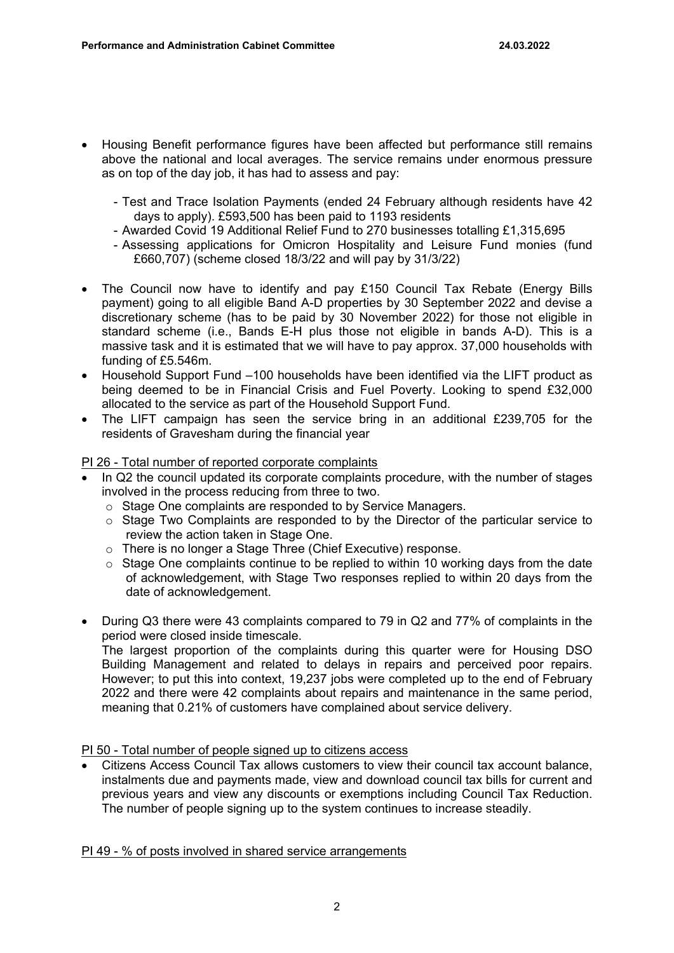- Housing Benefit performance figures have been affected but performance still remains above the national and local averages. The service remains under enormous pressure as on top of the day job, it has had to assess and pay:
	- Test and Trace Isolation Payments (ended 24 February although residents have 42 days to apply). £593,500 has been paid to 1193 residents
	- Awarded Covid 19 Additional Relief Fund to 270 businesses totalling £1,315,695
	- Assessing applications for Omicron Hospitality and Leisure Fund monies (fund £660,707) (scheme closed 18/3/22 and will pay by 31/3/22)
- The Council now have to identify and pay £150 Council Tax Rebate (Energy Bills payment) going to all eligible Band A-D properties by 30 September 2022 and devise a discretionary scheme (has to be paid by 30 November 2022) for those not eligible in standard scheme (i.e., Bands E-H plus those not eligible in bands A-D). This is a massive task and it is estimated that we will have to pay approx. 37,000 households with funding of £5.546m.
- Household Support Fund –100 households have been identified via the LIFT product as being deemed to be in Financial Crisis and Fuel Poverty. Looking to spend £32,000 allocated to the service as part of the Household Support Fund.
- The LIFT campaign has seen the service bring in an additional £239,705 for the residents of Gravesham during the financial year

#### PI 26 - Total number of reported corporate complaints

- In Q2 the council updated its corporate complaints procedure, with the number of stages involved in the process reducing from three to two.
	- o Stage One complaints are responded to by Service Managers.
	- $\circ$  Stage Two Complaints are responded to by the Director of the particular service to review the action taken in Stage One.
	- o There is no longer a Stage Three (Chief Executive) response.
	- o Stage One complaints continue to be replied to within 10 working days from the date of acknowledgement, with Stage Two responses replied to within 20 days from the date of acknowledgement.
- During Q3 there were 43 complaints compared to 79 in Q2 and 77% of complaints in the period were closed inside timescale.

The largest proportion of the complaints during this quarter were for Housing DSO Building Management and related to delays in repairs and perceived poor repairs. However; to put this into context, 19,237 jobs were completed up to the end of February 2022 and there were 42 complaints about repairs and maintenance in the same period, meaning that 0.21% of customers have complained about service delivery.

PI 50 - Total number of people signed up to citizens access

 Citizens Access Council Tax allows customers to view their council tax account balance, instalments due and payments made, view and download council tax bills for current and previous years and view any discounts or exemptions including Council Tax Reduction. The number of people signing up to the system continues to increase steadily.

PI 49 - % of posts involved in shared service arrangements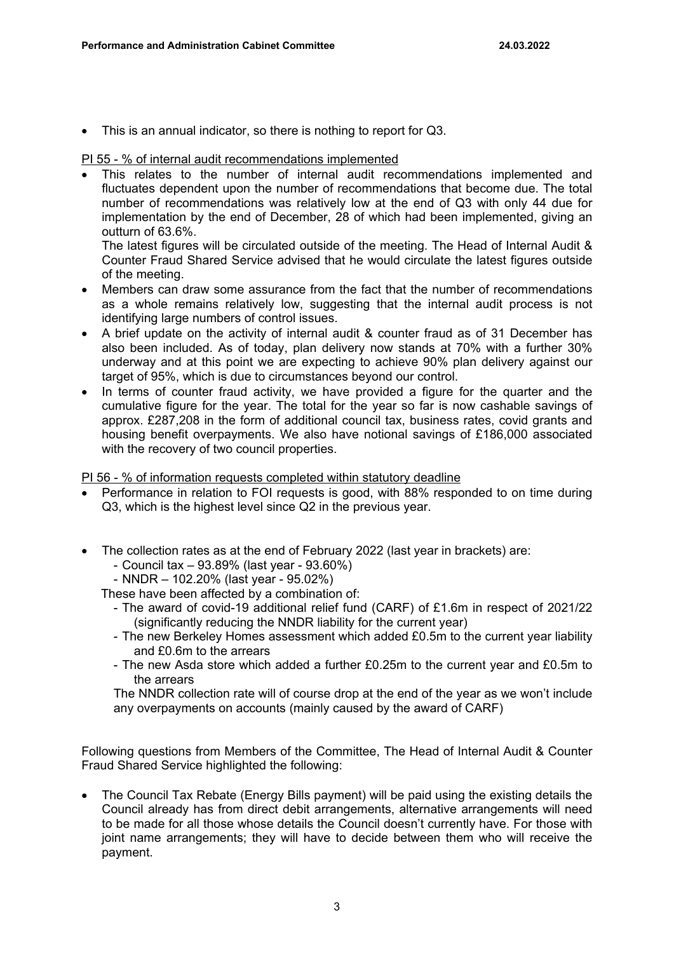This is an annual indicator, so there is nothing to report for Q3.

#### PI 55 - % of internal audit recommendations implemented

 This relates to the number of internal audit recommendations implemented and fluctuates dependent upon the number of recommendations that become due. The total number of recommendations was relatively low at the end of Q3 with only 44 due for implementation by the end of December, 28 of which had been implemented, giving an outturn of 63.6%.

The latest figures will be circulated outside of the meeting. The Head of Internal Audit & Counter Fraud Shared Service advised that he would circulate the latest figures outside of the meeting.

- Members can draw some assurance from the fact that the number of recommendations as a whole remains relatively low, suggesting that the internal audit process is not identifying large numbers of control issues.
- A brief update on the activity of internal audit & counter fraud as of 31 December has also been included. As of today, plan delivery now stands at 70% with a further 30% underway and at this point we are expecting to achieve 90% plan delivery against our target of 95%, which is due to circumstances beyond our control.
- In terms of counter fraud activity, we have provided a figure for the quarter and the cumulative figure for the year. The total for the year so far is now cashable savings of approx. £287,208 in the form of additional council tax, business rates, covid grants and housing benefit overpayments. We also have notional savings of £186,000 associated with the recovery of two council properties.

#### PI 56 - % of information requests completed within statutory deadline

- Performance in relation to FOI requests is good, with 88% responded to on time during Q3, which is the highest level since Q2 in the previous year.
- The collection rates as at the end of February 2022 (last year in brackets) are:
	- Council tax 93.89% (last year 93.60%)
	- NNDR 102.20% (last year 95.02%)

These have been affected by a combination of:

- The award of covid-19 additional relief fund (CARF) of £1.6m in respect of 2021/22 (significantly reducing the NNDR liability for the current year)
- The new Berkeley Homes assessment which added £0.5m to the current year liability and £0.6m to the arrears
- The new Asda store which added a further £0.25m to the current year and £0.5m to the arrears

The NNDR collection rate will of course drop at the end of the year as we won't include any overpayments on accounts (mainly caused by the award of CARF)

Following questions from Members of the Committee, The Head of Internal Audit & Counter Fraud Shared Service highlighted the following:

 The Council Tax Rebate (Energy Bills payment) will be paid using the existing details the Council already has from direct debit arrangements, alternative arrangements will need to be made for all those whose details the Council doesn't currently have. For those with joint name arrangements; they will have to decide between them who will receive the payment.